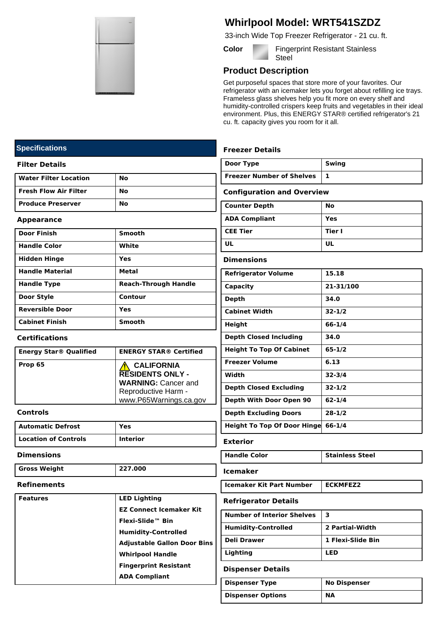

# **Whirlpool Model: WRT541SZDZ**

33-inch Wide Top Freezer Refrigerator - 21 cu. ft.

**Color Fingerprint Resistant Stainless Steel** 

## **Product Description**

Get purposeful spaces that store more of your favorites. Our refrigerator with an icemaker lets you forget about refilling ice trays. Frameless glass shelves help you fit more on every shelf and humidity-controlled crispers keep fruits and vegetables in their ideal environment. Plus, this ENERGY STAR® certified refrigerator's 21 cu. ft. capacity gives you room for it all.

|                                   | <b>Freezer Details</b>             |                        |  |
|-----------------------------------|------------------------------------|------------------------|--|
|                                   | Door Type                          | Swing                  |  |
|                                   | <b>Freezer Number of Shelves</b>   | 1                      |  |
|                                   | <b>Configuration and Overview</b>  |                        |  |
|                                   | <b>Counter Depth</b>               | No                     |  |
|                                   | <b>ADA Compliant</b>               | <b>Yes</b>             |  |
|                                   | <b>CEE Tier</b>                    | Tier I                 |  |
|                                   | UL                                 | UL                     |  |
|                                   | <b>Dimensions</b>                  |                        |  |
|                                   | <b>Refrigerator Volume</b>         | 15.18                  |  |
| landle                            | Capacity                           | 21-31/100              |  |
|                                   | <b>Depth</b>                       | 34.0                   |  |
|                                   | <b>Cabinet Width</b>               | $32 - 1/2$             |  |
|                                   | Height                             | $66 - 1/4$             |  |
|                                   | <b>Depth Closed Including</b>      | 34.0                   |  |
| Certified                         | <b>Height To Top Of Cabinet</b>    | $65 - 1/2$             |  |
| A                                 | <b>Freezer Volume</b>              | 6.13                   |  |
| LY -                              | Width                              | $32 - 3/4$             |  |
| cer and<br>rm -                   | <b>Depth Closed Excluding</b>      | $32 - 1/2$             |  |
| <u>gs.ca.gov</u>                  | Depth With Door Open 90            | $62 - 1/4$             |  |
|                                   | <b>Depth Excluding Doors</b>       | $28 - 1/2$             |  |
|                                   | Height To Top Of Door Hinge 66-1/4 |                        |  |
| <b>Exterior</b>                   |                                    |                        |  |
|                                   | <b>Handle Color</b>                | <b>Stainless Steel</b> |  |
|                                   | <b>Icemaker</b>                    |                        |  |
|                                   | <b>Icemaker Kit Part Number</b>    | <b>ECKMFEZ2</b>        |  |
|                                   | <b>Refrigerator Details</b>        |                        |  |
| aker Kit                          | <b>Number of Interior Shelves</b>  | 3                      |  |
| lled                              | <b>Humidity-Controlled</b>         | 2 Partial-Width        |  |
| n Door Bins                       | <b>Deli Drawer</b>                 | 1 Flexi-Slide Bin      |  |
|                                   | Lighting                           | <b>LED</b>             |  |
| stant<br><b>Dispenser Details</b> |                                    |                        |  |

| <b>Dispenser Type</b>    | <b>No Dispenser</b> |
|--------------------------|---------------------|
| <b>Dispenser Options</b> | <b>NA</b>           |

# **Specifications**

#### **Filter Details**

| <b>Water Filter Location</b> | No |
|------------------------------|----|
| <b>Fresh Flow Air Filter</b> | No |
| <b>Produce Preserver</b>     | Nο |

#### **Appearance**

| <b>Door Finish</b>     | <b>Smooth</b>               |
|------------------------|-----------------------------|
| <b>Handle Color</b>    | White                       |
| <b>Hidden Hinge</b>    | Yes                         |
| <b>Handle Material</b> | <b>Metal</b>                |
| <b>Handle Type</b>     | <b>Reach-Through Handle</b> |
| Door Style             | Contour                     |
| <b>Reversible Door</b> | Yes                         |
| <b>Cabinet Finish</b>  | <b>Smooth</b>               |

## **Certifications**

| <b>Energy Star® Qualified</b> | <b>ENERGY STAR® Certified</b>                                                                                               |
|-------------------------------|-----------------------------------------------------------------------------------------------------------------------------|
| Prop 65                       | <b>CALIFORNIA</b><br><b>RESIDENTS ONLY -</b><br><b>WARNING: Cancer and</b><br>Reproductive Harm -<br>www.P65Warnings.ca.gov |

### **Controls**

| Automatic Defrost    | Yes             |
|----------------------|-----------------|
| Location of Controls | <b>Interior</b> |

#### **Dimensions**

**Refinements**

**LED Features** 

| <b>Gross Weight</b> | 227.000 |
|---------------------|---------|

| 227,000 |                     | <b>Icemaker</b>               |  |
|---------|---------------------|-------------------------------|--|
|         |                     | <b>Icemaker Kit Part Numl</b> |  |
|         | <b>LED Lighting</b> | <b>Refrigerator Details</b>   |  |

|  |  | NEILIYELALVI DELAIIS                                 |                                   |                     |
|--|--|------------------------------------------------------|-----------------------------------|---------------------|
|  |  | <b>EZ Connect Icemaker Kit</b>                       | <b>Number of Interior Shelves</b> | 3                   |
|  |  | Flexi-Slide™ Bin                                     |                                   |                     |
|  |  | <b>Humidity-Controlled</b>                           | <b>Humidity-Controlled</b>        | 2 Partial-Width     |
|  |  | <b>Adjustable Gallon Door Bins</b>                   | <b>Deli Drawer</b>                | 1 Flexi-Slide Bin   |
|  |  | <b>Whirlpool Handle</b>                              | Lighting                          | <b>LED</b>          |
|  |  | <b>Fingerprint Resistant</b><br><b>ADA Compliant</b> | <b>Dispenser Details</b>          |                     |
|  |  |                                                      | <b>Dispenser Type</b>             | <b>No Dispenser</b> |
|  |  |                                                      |                                   |                     |